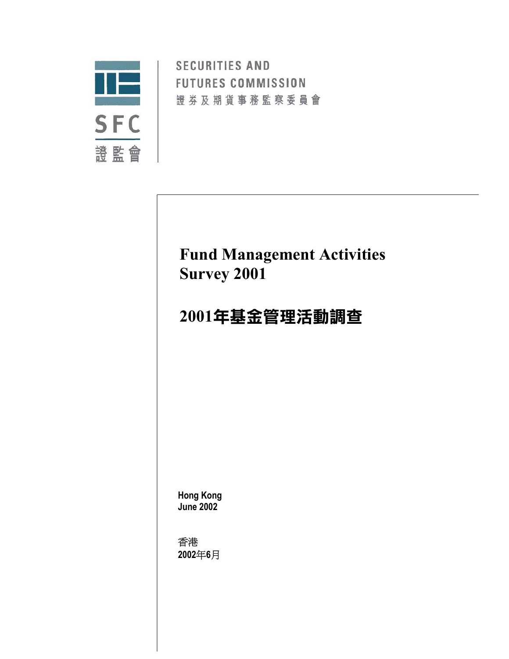

**SECURITIES AND FUTURES COMMISSION** 證券及期貨事務監察委員會

## **Fund Management Activities Survey 2001**

# **2001**年基金管理活動調查

**Hong Kong June 2002** 

香港 **2002**年**6**月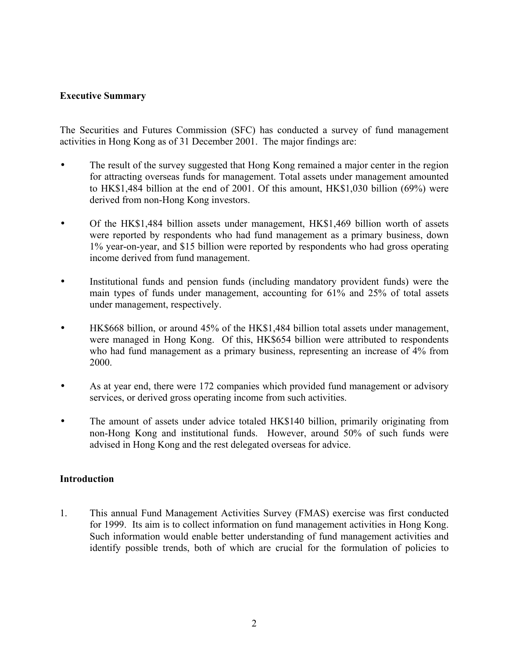### **Executive Summary**

The Securities and Futures Commission (SFC) has conducted a survey of fund management activities in Hong Kong as of 31 December 2001. The major findings are:

- The result of the survey suggested that Hong Kong remained a major center in the region for attracting overseas funds for management. Total assets under management amounted to HK\$1,484 billion at the end of 2001. Of this amount, HK\$1,030 billion (69%) were derived from non-Hong Kong investors.
- Of the HK\$1,484 billion assets under management, HK\$1,469 billion worth of assets were reported by respondents who had fund management as a primary business, down 1% year-on-year, and \$15 billion were reported by respondents who had gross operating income derived from fund management.
- Institutional funds and pension funds (including mandatory provident funds) were the main types of funds under management, accounting for 61% and 25% of total assets under management, respectively.
- HK\$668 billion, or around 45% of the HK\$1,484 billion total assets under management, were managed in Hong Kong. Of this, HK\$654 billion were attributed to respondents who had fund management as a primary business, representing an increase of 4% from 2000.
- As at year end, there were 172 companies which provided fund management or advisory services, or derived gross operating income from such activities.
- The amount of assets under advice totaled HK\$140 billion, primarily originating from non-Hong Kong and institutional funds. However, around 50% of such funds were advised in Hong Kong and the rest delegated overseas for advice.

#### **Introduction**

1. This annual Fund Management Activities Survey (FMAS) exercise was first conducted for 1999. Its aim is to collect information on fund management activities in Hong Kong. Such information would enable better understanding of fund management activities and identify possible trends, both of which are crucial for the formulation of policies to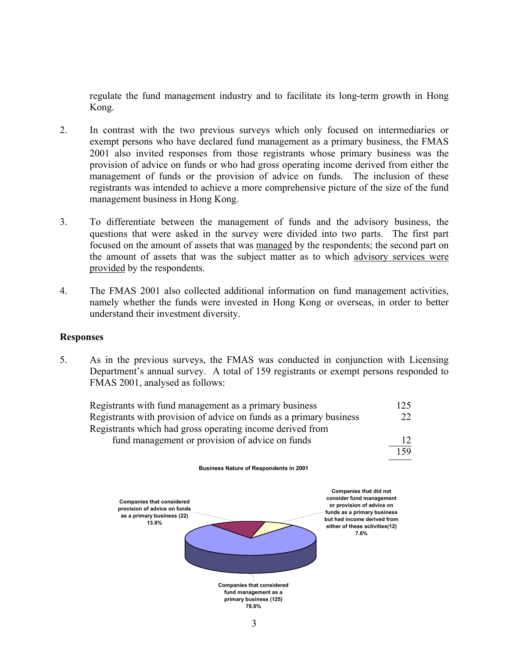regulate the fund management industry and to facilitate its long-term growth in Hong Kong.

- 2. In contrast with the two previous surveys which only focused on intermediaries or exempt persons who have declared fund management as a primary business, the FMAS 2001 also invited responses from those registrants whose primary business was the provision of advice on funds or who had gross operating income derived from either the management of funds or the provision of advice on funds. The inclusion of these registrants was intended to achieve a more comprehensive picture of the size of the fund management business in Hong Kong.
- 3. To differentiate between the management of funds and the advisory business, the questions that were asked in the survey were divided into two parts. The first part focused on the amount of assets that was managed by the respondents; the second part on the amount of assets that was the subject matter as to which advisory services were provided by the respondents.
- 4. The FMAS 2001 also collected additional information on fund management activities, namely whether the funds were invested in Hong Kong or overseas, in order to better understand their investment diversity.

#### **Responses**

5. As in the previous surveys, the FMAS was conducted in conjunction with Licensing Department's annual survey. A total of 159 registrants or exempt persons responded to FMAS 2001, analysed as follows:

| Registrants with fund management as a primary business              | 125             |
|---------------------------------------------------------------------|-----------------|
| Registrants with provision of advice on funds as a primary business | 22 <sub>1</sub> |
| Registrants which had gross operating income derived from           |                 |
| fund management or provision of advice on funds                     |                 |
|                                                                     | 159             |

**Business Nature of Respondents in 2001**

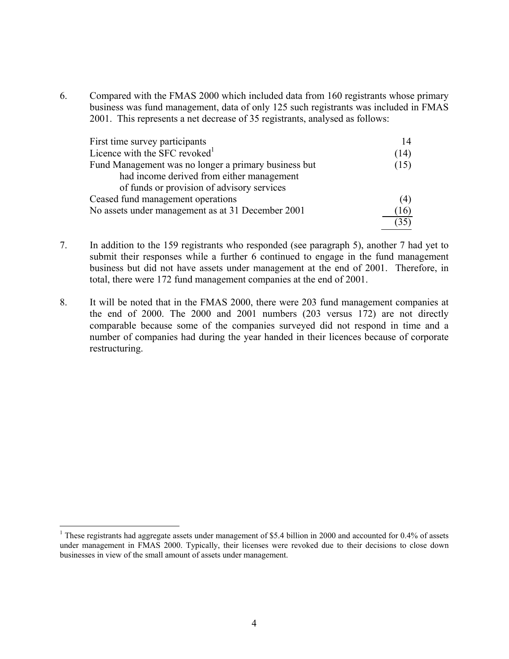6. Compared with the FMAS 2000 which included data from 160 registrants whose primary business was fund management, data of only 125 such registrants was included in FMAS 2001. This represents a net decrease of 35 registrants, analysed as follows:

| First time survey participants                       | 14                   |
|------------------------------------------------------|----------------------|
| Licence with the SFC revoked <sup>1</sup>            | (14)                 |
| Fund Management was no longer a primary business but | (15)                 |
| had income derived from either management            |                      |
| of funds or provision of advisory services           |                      |
| Ceased fund management operations                    | (4)                  |
| No assets under management as at 31 December 2001    | $\lfloor 16 \rfloor$ |
|                                                      |                      |

7. In addition to the 159 registrants who responded (see paragraph 5), another 7 had yet to submit their responses while a further 6 continued to engage in the fund management business but did not have assets under management at the end of 2001. Therefore, in total, there were 172 fund management companies at the end of 2001.

8. It will be noted that in the FMAS 2000, there were 203 fund management companies at the end of 2000. The 2000 and 2001 numbers (203 versus 172) are not directly comparable because some of the companies surveyed did not respond in time and a number of companies had during the year handed in their licences because of corporate restructuring.

1

<sup>&</sup>lt;sup>1</sup> These registrants had aggregate assets under management of \$5.4 billion in 2000 and accounted for 0.4% of assets under management in FMAS 2000. Typically, their licenses were revoked due to their decisions to close down businesses in view of the small amount of assets under management.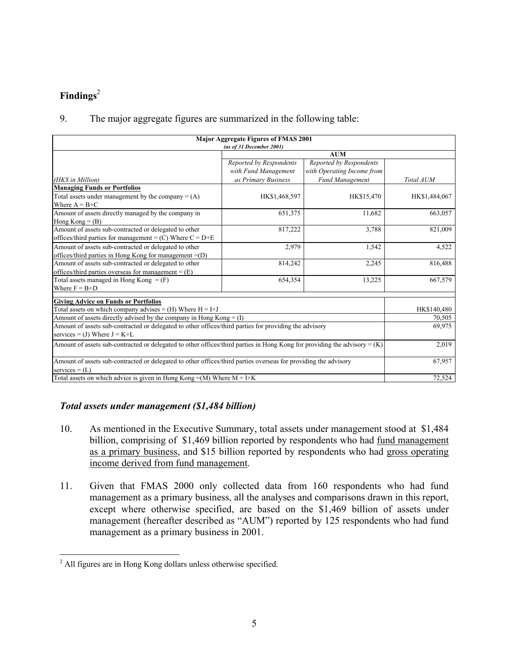## **Findings**<sup>2</sup>

## 9. The major aggregate figures are summarized in the following table:

| <b>Major Aggregate Figures of FMAS 2001</b><br>(as of 31 December 2001)                                                     |                                                 |                                                       |               |  |  |
|-----------------------------------------------------------------------------------------------------------------------------|-------------------------------------------------|-------------------------------------------------------|---------------|--|--|
|                                                                                                                             | <b>AUM</b>                                      |                                                       |               |  |  |
|                                                                                                                             | Reported by Respondents<br>with Fund Management | Reported by Respondents<br>with Operating Income from |               |  |  |
| (HK\$ in Million)                                                                                                           | as Primary Business                             | Fund Management                                       | Total AUM     |  |  |
| <b>Managing Funds or Portfolios</b>                                                                                         |                                                 |                                                       |               |  |  |
| Total assets under management by the company $= (A)$                                                                        | HK\$1,468,597                                   | HK\$15,470                                            | HK\$1,484,067 |  |  |
| Where $A = B+C$                                                                                                             |                                                 |                                                       |               |  |  |
| Amount of assets directly managed by the company in                                                                         | 651,375                                         | 11,682                                                | 663,057       |  |  |
| Hong Kong = $(B)$                                                                                                           |                                                 |                                                       |               |  |  |
| Amount of assets sub-contracted or delegated to other                                                                       | 817,222                                         | 3,788                                                 | 821,009       |  |  |
| offices/third parties for management = $(C)$ Where $C = D + E$                                                              |                                                 |                                                       |               |  |  |
| Amount of assets sub-contracted or delegated to other                                                                       | 2,979                                           | 1,542                                                 | 4,522         |  |  |
| offices/third parties in Hong Kong for management = (D)                                                                     |                                                 |                                                       |               |  |  |
| Amount of assets sub-contracted or delegated to other                                                                       | 814,242                                         | 2,245                                                 | 816,488       |  |  |
| offices/third parties overseas for management = $(E)$                                                                       |                                                 |                                                       |               |  |  |
| Total assets managed in Hong Kong $=$ (F)                                                                                   | 654,354                                         | 13,225                                                | 667,579       |  |  |
| Where $F = B + D$                                                                                                           |                                                 |                                                       |               |  |  |
| <b>Giving Advice on Funds or Portfolios</b>                                                                                 |                                                 |                                                       |               |  |  |
| Total assets on which company advises = $(H)$ Where $H = I + J$                                                             |                                                 |                                                       | HK\$140,480   |  |  |
| Amount of assets directly advised by the company in Hong Kong $= (I)$                                                       |                                                 | 70,505                                                |               |  |  |
| Amount of assets sub-contracted or delegated to other offices/third parties for providing the advisory                      | 69,975                                          |                                                       |               |  |  |
| services = (J) Where $J = K+L$                                                                                              |                                                 |                                                       |               |  |  |
| Amount of assets sub-contracted or delegated to other offices/third parties in Hong Kong for providing the advisory = $(K)$ |                                                 |                                                       | 2,019         |  |  |
| Amount of assets sub-contracted or delegated to other offices/third parties overseas for providing the advisory             |                                                 |                                                       | 67,957        |  |  |
| services = $(L)$                                                                                                            |                                                 |                                                       |               |  |  |
| Total assets on which advice is given in Hong Kong = $(M)$ Where M = I+K                                                    | 72,524                                          |                                                       |               |  |  |

#### *Total assets under management (\$1,484 billion)*

- 10. As mentioned in the Executive Summary, total assets under management stood at \$1,484 billion, comprising of \$1,469 billion reported by respondents who had fund management as a primary business, and \$15 billion reported by respondents who had gross operating income derived from fund management.
- 11. Given that FMAS 2000 only collected data from 160 respondents who had fund management as a primary business, all the analyses and comparisons drawn in this report, except where otherwise specified, are based on the \$1,469 billion of assets under management (hereafter described as "AUM") reported by 125 respondents who had fund management as a primary business in 2001.

 2 All figures are in Hong Kong dollars unless otherwise specified.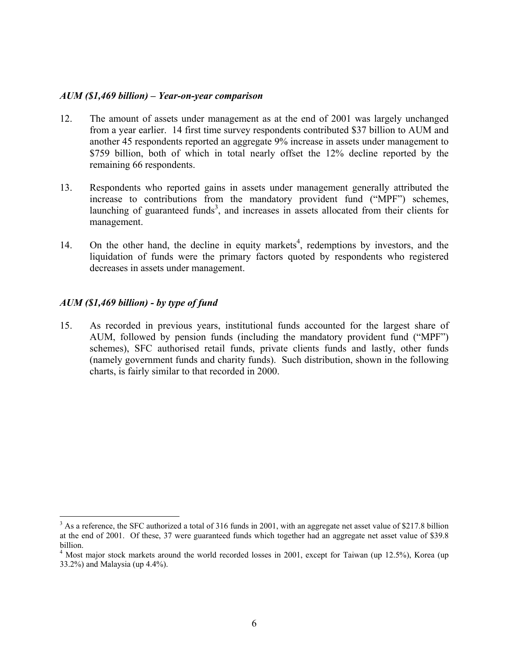#### *AUM (\$1,469 billion) – Year-on-year comparison*

- 12. The amount of assets under management as at the end of 2001 was largely unchanged from a year earlier. 14 first time survey respondents contributed \$37 billion to AUM and another 45 respondents reported an aggregate 9% increase in assets under management to \$759 billion, both of which in total nearly offset the 12% decline reported by the remaining 66 respondents.
- 13. Respondents who reported gains in assets under management generally attributed the increase to contributions from the mandatory provident fund ("MPF") schemes, launching of guaranteed funds<sup>3</sup>, and increases in assets allocated from their clients for management.
- 14. On the other hand, the decline in equity markets<sup>4</sup>, redemptions by investors, and the liquidation of funds were the primary factors quoted by respondents who registered decreases in assets under management.

#### *AUM (\$1,469 billion) - by type of fund*

1

15. As recorded in previous years, institutional funds accounted for the largest share of AUM, followed by pension funds (including the mandatory provident fund ("MPF") schemes), SFC authorised retail funds, private clients funds and lastly, other funds (namely government funds and charity funds). Such distribution, shown in the following charts, is fairly similar to that recorded in 2000.

 $3$  As a reference, the SFC authorized a total of 316 funds in 2001, with an aggregate net asset value of \$217.8 billion at the end of 2001. Of these, 37 were guaranteed funds which together had an aggregate net asset value of \$39.8 billion.

<sup>&</sup>lt;sup>4</sup> Most major stock markets around the world recorded losses in 2001, except for Taiwan (up 12.5%), Korea (up 33.2%) and Malaysia (up 4.4%).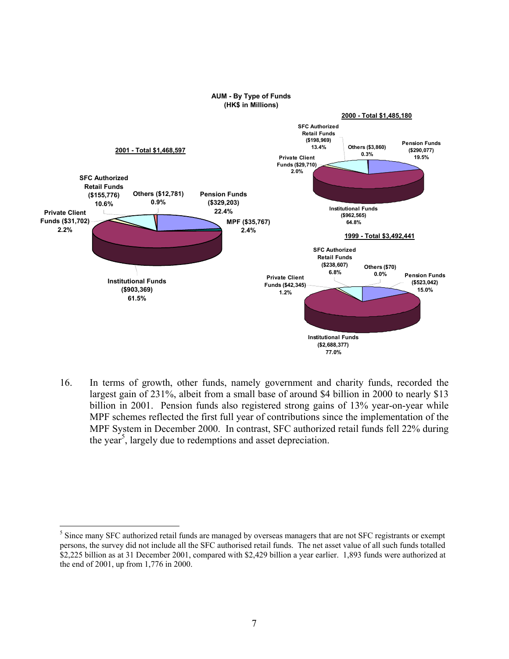

16. In terms of growth, other funds, namely government and charity funds, recorded the largest gain of 231%, albeit from a small base of around \$4 billion in 2000 to nearly \$13 billion in 2001. Pension funds also registered strong gains of 13% year-on-year while MPF schemes reflected the first full year of contributions since the implementation of the MPF System in December 2000. In contrast, SFC authorized retail funds fell 22% during the year<sup>5</sup>, largely due to redemptions and asset depreciation.

1

<sup>&</sup>lt;sup>5</sup> Since many SFC authorized retail funds are managed by overseas managers that are not SFC registrants or exempt persons, the survey did not include all the SFC authorised retail funds. The net asset value of all such funds totalled \$2,225 billion as at 31 December 2001, compared with \$2,429 billion a year earlier. 1,893 funds were authorized at the end of 2001, up from 1,776 in 2000.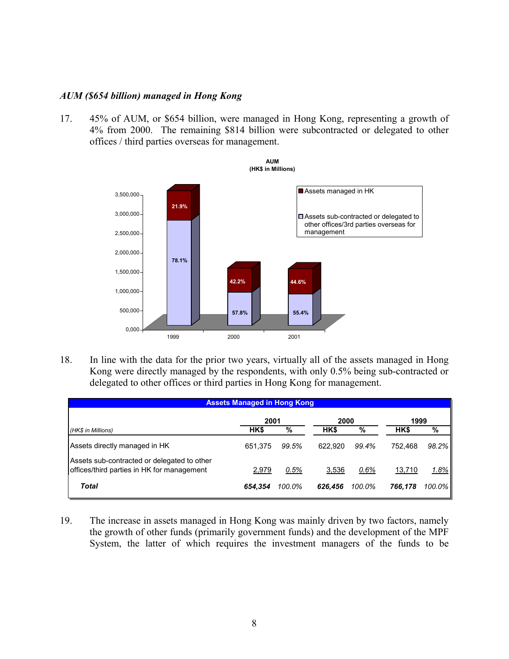#### *AUM (\$654 billion) managed in Hong Kong*

17. 45% of AUM, or \$654 billion, were managed in Hong Kong, representing a growth of 4% from 2000. The remaining \$814 billion were subcontracted or delegated to other offices / third parties overseas for management.



18. In line with the data for the prior two years, virtually all of the assets managed in Hong Kong were directly managed by the respondents, with only 0.5% being sub-contracted or delegated to other offices or third parties in Hong Kong for management.

| <b>Assets Managed in Hong Kong</b>                                                        |         |        |         |        |         |        |  |
|-------------------------------------------------------------------------------------------|---------|--------|---------|--------|---------|--------|--|
|                                                                                           | 2001    |        | 2000    |        | 1999    |        |  |
| (HK\$ in Millions)                                                                        | HK\$    | %      | HK\$    | $\%$   | HK\$    | %      |  |
| Assets directly managed in HK                                                             | 651.375 | 99.5%  | 622.920 | 99.4%  | 752.468 | 98.2%  |  |
| Assets sub-contracted or delegated to other<br>offices/third parties in HK for management | 2,979   | 0.5%   | 3,536   | 0.6%   | 13,710  | 1.8%   |  |
| <b>Total</b>                                                                              | 654.354 | 100.0% | 626.456 | 100.0% | 766.178 | 100.0% |  |

19. The increase in assets managed in Hong Kong was mainly driven by two factors, namely the growth of other funds (primarily government funds) and the development of the MPF System, the latter of which requires the investment managers of the funds to be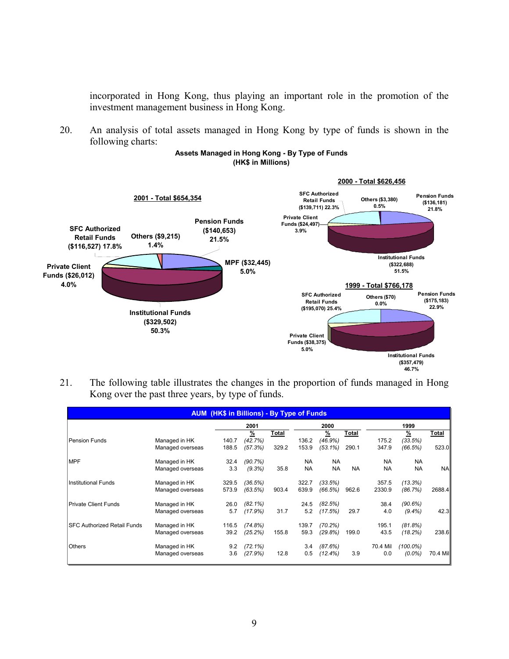incorporated in Hong Kong, thus playing an important role in the promotion of the investment management business in Hong Kong.

20. An analysis of total assets managed in Hong Kong by type of funds is shown in the following charts:



#### **Assets Managed in Hong Kong - By Type of Funds (HK\$ in Millions)**

21. The following table illustrates the changes in the proportion of funds managed in Hong Kong over the past three years, by type of funds.

**46.7%**

|                                    |                  | <b>AUM (HK\$ in Billions) - By Type of Funds</b> |               |       |           |               |           |           |               |           |
|------------------------------------|------------------|--------------------------------------------------|---------------|-------|-----------|---------------|-----------|-----------|---------------|-----------|
|                                    |                  |                                                  | 2001          |       |           | 2000          |           |           | 1999          |           |
|                                    |                  |                                                  | $\frac{9}{6}$ | Total |           | $\frac{9}{6}$ | Total     |           | $\frac{9}{6}$ | Total     |
| Pension Funds                      | Managed in HK    | 140.7                                            | (42.7%)       |       | 136.2     | $(46.9\%)$    |           | 175.2     | (33.5%)       |           |
|                                    | Managed overseas | 188.5                                            | (57.3%)       | 329.2 | 153.9     | $(53.1\%)$    | 290.1     | 347.9     | (66.5%)       | 523.0     |
| <b>MPF</b>                         | Managed in HK    | 32.4                                             | (90.7%)       |       | <b>NA</b> | <b>NA</b>     |           | <b>NA</b> | <b>NA</b>     |           |
|                                    | Managed overseas | 3.3                                              | (9.3%)        | 35.8  | <b>NA</b> | <b>NA</b>     | <b>NA</b> | <b>NA</b> | <b>NA</b>     | <b>NA</b> |
| <b>Institutional Funds</b>         | Managed in HK    | 329.5                                            | (36.5%)       |       | 322.7     | (33.5%)       |           | 357.5     | (13.3%)       |           |
|                                    | Managed overseas | 573.9                                            | (63.5%)       | 903.4 | 639.9     | (66.5%)       | 962.6     | 2330.9    | (86.7%)       | 2688.4    |
| <b>Private Client Funds</b>        | Managed in HK    | 26.0                                             | $(82.1\%)$    |       | 24.5      | (82.5%)       |           | 38.4      | (90.6%)       |           |
|                                    | Managed overseas | 5.7                                              | (17.9%)       | 31.7  | 5.2       | (17.5%)       | 29.7      | 4.0       | $(9.4\%)$     | 42.3      |
| <b>SFC Authorized Retail Funds</b> | Managed in HK    | 116.5                                            | (74.8%)       |       | 139.7     | (70.2%)       |           | 195.1     | (81.8%)       |           |
|                                    | Managed overseas | 39.2                                             | (25.2%)       | 155.8 | 59.3      | (29.8%)       | 199.0     | 43.5      | (18.2%)       | 238.6     |
| <b>Others</b>                      | Managed in HK    | 9.2                                              | $(72.1\%)$    |       | 3.4       | (87.6%)       |           | 70.4 Mil  | $(100.0\%)$   |           |
|                                    | Managed overseas | 3.6                                              | (27.9%)       | 12.8  | 0.5       | $(12.4\%)$    | 3.9       | 0.0       | $(0.0\%)$     | 70.4 Mil  |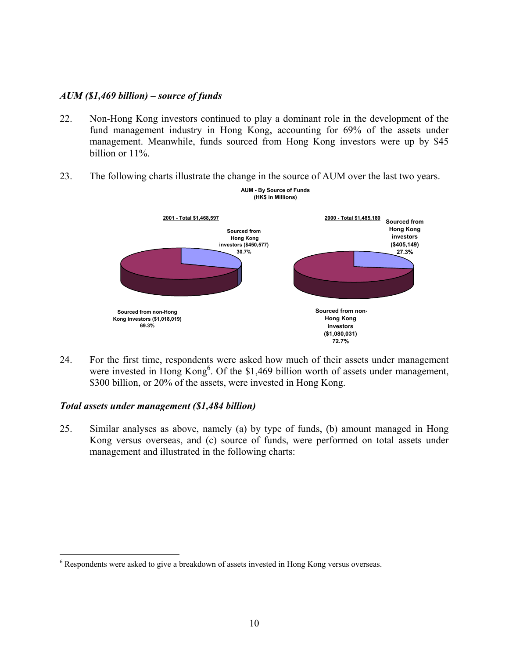#### *AUM (\$1,469 billion) – source of funds*

- 22. Non-Hong Kong investors continued to play a dominant role in the development of the fund management industry in Hong Kong, accounting for 69% of the assets under management. Meanwhile, funds sourced from Hong Kong investors were up by \$45 billion or 11%.
- 23. The following charts illustrate the change in the source of AUM over the last two years.



24. For the first time, respondents were asked how much of their assets under management were invested in Hong Kong<sup>6</sup>. Of the \$1,469 billion worth of assets under management, \$300 billion, or 20% of the assets, were invested in Hong Kong.

#### *Total assets under management (\$1,484 billion)*

1

25. Similar analyses as above, namely (a) by type of funds, (b) amount managed in Hong Kong versus overseas, and (c) source of funds, were performed on total assets under management and illustrated in the following charts:

 $6$  Respondents were asked to give a breakdown of assets invested in Hong Kong versus overseas.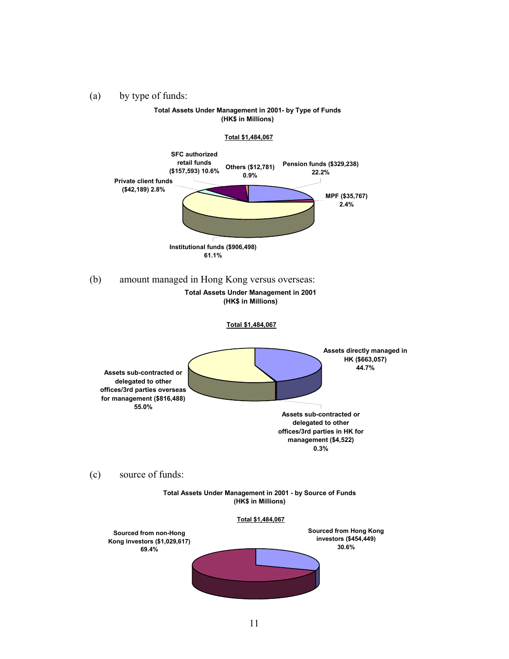(a) by type of funds:

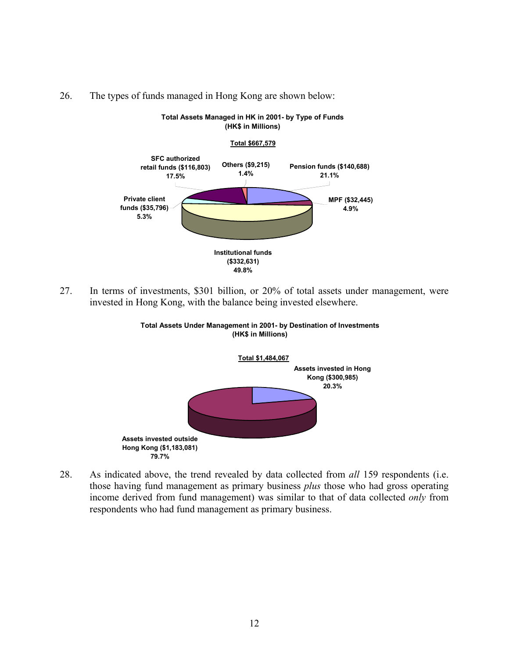



**Total Assets Managed in HK in 2001- by Type of Funds**

27. In terms of investments, \$301 billion, or 20% of total assets under management, were invested in Hong Kong, with the balance being invested elsewhere.



**Total Assets Under Management in 2001- by Destination of Investments (HK\$ in Millions)**

28. As indicated above, the trend revealed by data collected from *all* 159 respondents (i.e. those having fund management as primary business *plus* those who had gross operating income derived from fund management) was similar to that of data collected *only* from respondents who had fund management as primary business.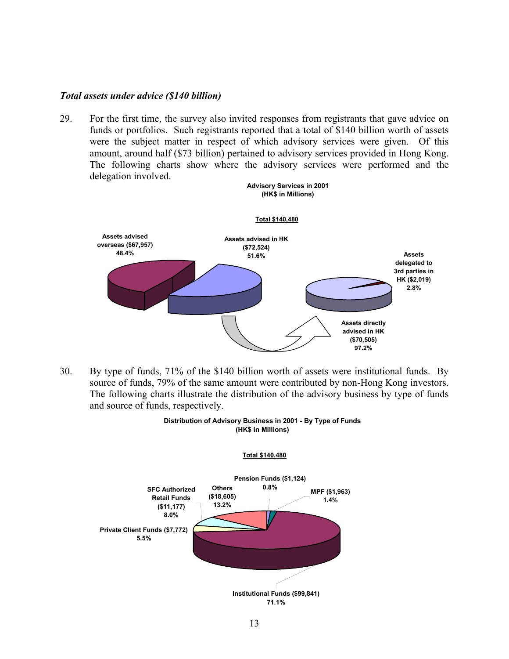#### *Total assets under advice (\$140 billion)*

29. For the first time, the survey also invited responses from registrants that gave advice on funds or portfolios. Such registrants reported that a total of \$140 billion worth of assets were the subject matter in respect of which advisory services were given. Of this amount, around half (\$73 billion) pertained to advisory services provided in Hong Kong. The following charts show where the advisory services were performed and the delegation involved.



30. By type of funds, 71% of the \$140 billion worth of assets were institutional funds. By source of funds, 79% of the same amount were contributed by non-Hong Kong investors. The following charts illustrate the distribution of the advisory business by type of funds and source of funds, respectively.



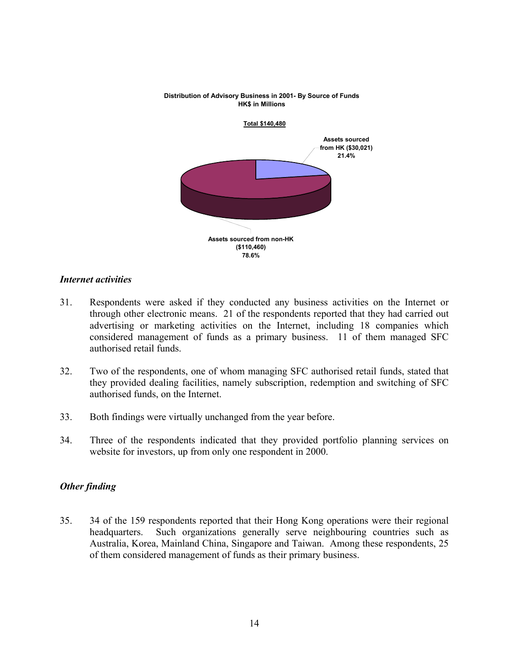#### **Distribution of Advisory Business in 2001- By Source of Funds HK\$ in Millions**



#### *Internet activities*

- 31. Respondents were asked if they conducted any business activities on the Internet or through other electronic means. 21 of the respondents reported that they had carried out advertising or marketing activities on the Internet, including 18 companies which considered management of funds as a primary business. 11 of them managed SFC authorised retail funds.
- 32. Two of the respondents, one of whom managing SFC authorised retail funds, stated that they provided dealing facilities, namely subscription, redemption and switching of SFC authorised funds, on the Internet.
- 33. Both findings were virtually unchanged from the year before.
- 34. Three of the respondents indicated that they provided portfolio planning services on website for investors, up from only one respondent in 2000.

#### *Other finding*

35. 34 of the 159 respondents reported that their Hong Kong operations were their regional headquarters. Such organizations generally serve neighbouring countries such as Australia, Korea, Mainland China, Singapore and Taiwan. Among these respondents, 25 of them considered management of funds as their primary business.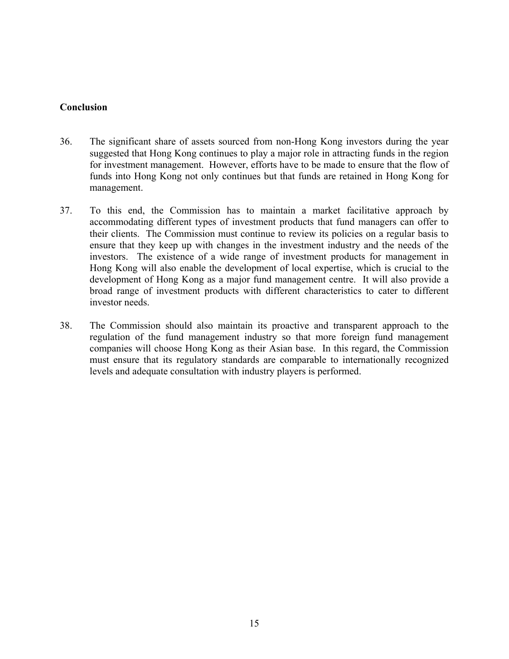### **Conclusion**

- 36. The significant share of assets sourced from non-Hong Kong investors during the year suggested that Hong Kong continues to play a major role in attracting funds in the region for investment management. However, efforts have to be made to ensure that the flow of funds into Hong Kong not only continues but that funds are retained in Hong Kong for management.
- 37. To this end, the Commission has to maintain a market facilitative approach by accommodating different types of investment products that fund managers can offer to their clients. The Commission must continue to review its policies on a regular basis to ensure that they keep up with changes in the investment industry and the needs of the investors. The existence of a wide range of investment products for management in Hong Kong will also enable the development of local expertise, which is crucial to the development of Hong Kong as a major fund management centre. It will also provide a broad range of investment products with different characteristics to cater to different investor needs.
- 38. The Commission should also maintain its proactive and transparent approach to the regulation of the fund management industry so that more foreign fund management companies will choose Hong Kong as their Asian base. In this regard, the Commission must ensure that its regulatory standards are comparable to internationally recognized levels and adequate consultation with industry players is performed.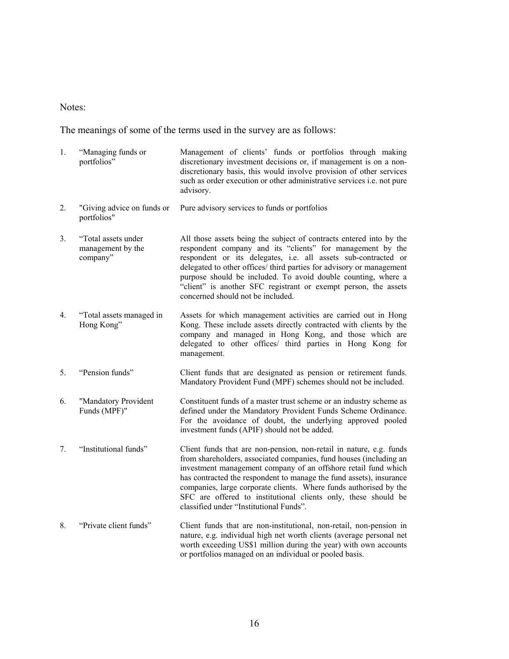#### Notes:

The meanings of some of the terms used in the survey are as follows:

- 1. "Managing funds or portfolios" Management of clients' funds or portfolios through making discretionary investment decisions or, if management is on a nondiscretionary basis, this would involve provision of other services such as order execution or other administrative services i.e. not pure advisory.
- 2. "Giving advice on funds or portfolios" Pure advisory services to funds or portfolios
- 3. "Total assets under management by the company" All those assets being the subject of contracts entered into by the respondent company and its "clients" for management by the respondent or its delegates, i.e. all assets sub-contracted or delegated to other offices/ third parties for advisory or management purpose should be included. To avoid double counting, where a "client" is another SFC registrant or exempt person, the assets concerned should not be included.
- 4. "Total assets managed in Hong Kong" Assets for which management activities are carried out in Hong Kong. These include assets directly contracted with clients by the company and managed in Hong Kong, and those which are delegated to other offices/ third parties in Hong Kong for management.
- 5. "Pension funds" Client funds that are designated as pension or retirement funds. Mandatory Provident Fund (MPF) schemes should not be included.
- 6. "Mandatory Provident Funds (MPF)" Constituent funds of a master trust scheme or an industry scheme as defined under the Mandatory Provident Funds Scheme Ordinance. For the avoidance of doubt, the underlying approved pooled investment funds (APIF) should not be added.
- 7. "Institutional funds" Client funds that are non-pension, non-retail in nature, e.g. funds from shareholders, associated companies, fund houses (including an investment management company of an offshore retail fund which has contracted the respondent to manage the fund assets), insurance companies, large corporate clients. Where funds authorised by the SFC are offered to institutional clients only, these should be classified under "Institutional Funds".
- 8. "Private client funds" Client funds that are non-institutional, non-retail, non-pension in nature, e.g. individual high net worth clients (average personal net worth exceeding US\$1 million during the year) with own accounts or portfolios managed on an individual or pooled basis.